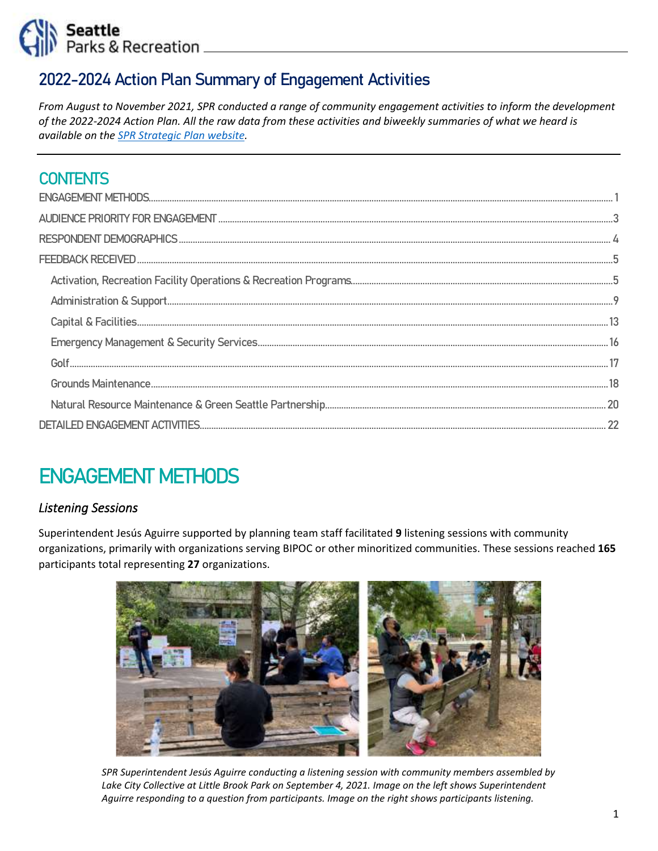

## 2022-2024 Action Plan Summary of Engagement Activities

*From August to November 2021, SPR conducted a range of community engagement activities to inform the development of the 2022-2024 Action Plan. All the raw data from these activities and biweekly summaries of what we heard is available on the [SPR Strategic Plan website.](https://www.seattle.gov/parks/about-us/policies-and-plans/seattle-parks-and-recreation-strategic-plan)* 

## **CONTENTS**

# <span id="page-0-0"></span>ENGAGEMENT METHODS

### *Listening Sessions*

Superintendent Jesús Aguirre supported by planning team staff facilitated **9** listening sessions with community organizations, primarily with organizations serving BIPOC or other minoritized communities. These sessions reached **165** participants total representing **27** organizations.



 *SPR Superintendent Jesús Aguirre conducting a listening session with community members assembled by Lake City Collective at Little Brook Park on September 4, 2021. Image on the left shows Superintendent Aguirre responding to a question from participants. Image on the right shows participants listening.*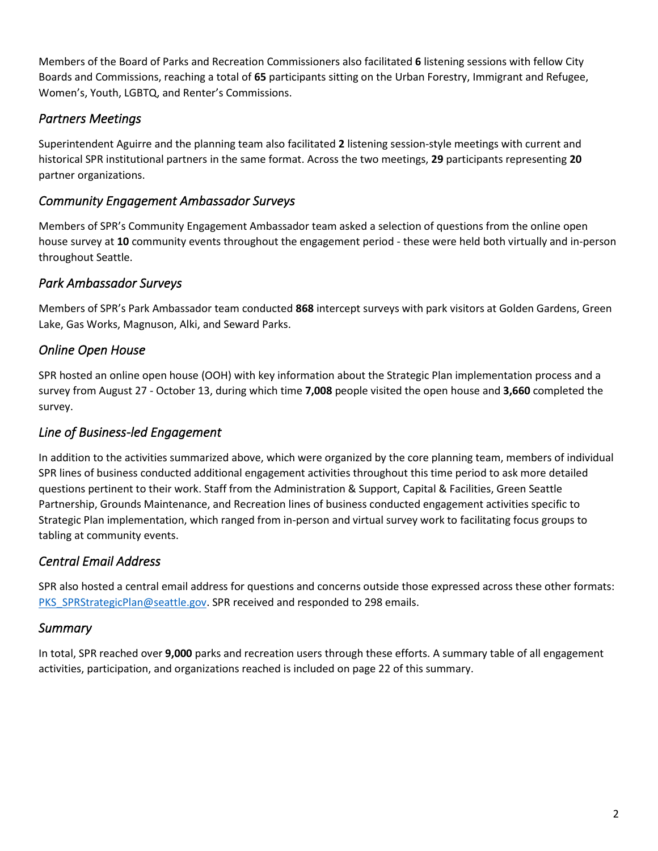Members of the Board of Parks and Recreation Commissioners also facilitated **6** listening sessions with fellow City Boards and Commissions, reaching a total of **65** participants sitting on the Urban Forestry, Immigrant and Refugee, Women's, Youth, LGBTQ, and Renter's Commissions.

### *Partners Meetings*

Superintendent Aguirre and the planning team also facilitated **2** listening session-style meetings with current and historical SPR institutional partners in the same format. Across the two meetings, **29** participants representing **20**  partner organizations.

### *Community Engagement Ambassador Surveys*

Members of SPR's Community Engagement Ambassador team asked a selection of questions from the online open house survey at **10** community events throughout the engagement period - these were held both virtually and in-person throughout Seattle.

### *Park Ambassador Surveys*

Members of SPR's Park Ambassador team conducted **868** intercept surveys with park visitors at Golden Gardens, Green Lake, Gas Works, Magnuson, Alki, and Seward Parks.

### *Online Open House*

SPR hosted an online open house (OOH) with key information about the Strategic Plan implementation process and a survey from August 27 - October 13, during which time **7,008** people visited the open house and **3,660** completed the survey.

### *Line of Business-led Engagement*

In addition to the activities summarized above, which were organized by the core planning team, members of individual SPR lines of business conducted additional engagement activities throughout this time period to ask more detailed questions pertinent to their work. Staff from the Administration & Support, Capital & Facilities, Green Seattle Partnership, Grounds Maintenance, and Recreation lines of business conducted engagement activities specific to Strategic Plan implementation, which ranged from in-person and virtual survey work to facilitating focus groups to tabling at community events.

### *Central Email Address*

SPR also hosted a central email address for questions and concerns outside those expressed across these other formats: [PKS\\_SPRStrategicPlan@seattle.gov.](mailto:PKS_SPRStrategicPlan@seattle.gov) SPR received and responded to 298 emails.

### *Summary*

In total, SPR reached over **9,000** parks and recreation users through these efforts. A summary table of all engagement activities, participation, and organizations reached is included on page 22 of this summary.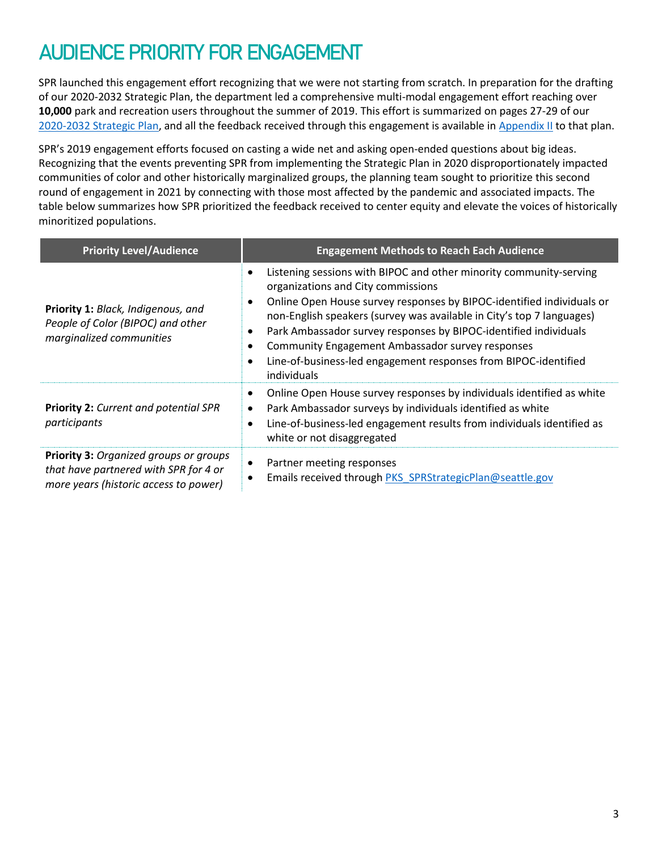# <span id="page-2-0"></span>AUDIENCE PRIORITY FOR ENGAGEMENT

SPR launched this engagement effort recognizing that we were not starting from scratch. In preparation for the drafting of our 2020-2032 Strategic Plan, the department led a comprehensive multi-modal engagement effort reaching over **10,000** park and recreation users throughout the summer of 2019. This effort is summarized on pages 27-29 of our [2020-2032 Strategic Plan,](https://www.seattle.gov/Documents/Departments/ParksAndRecreation/PoliciesPlanning/SPR_Strategic_Plan.03.27.2020.pdf) and all the feedback received through this engagement is available in [Appendix II](http://www.seattle.gov/Documents/Departments/ParksAndRecreation/PoliciesPlanning/StrataegicPlan_AppendixII_Combined.pdf) to that plan.

SPR's 2019 engagement efforts focused on casting a wide net and asking open-ended questions about big ideas. Recognizing that the events preventing SPR from implementing the Strategic Plan in 2020 disproportionately impacted communities of color and other historically marginalized groups, the planning team sought to prioritize this second round of engagement in 2021 by connecting with those most affected by the pandemic and associated impacts. The table below summarizes how SPR prioritized the feedback received to center equity and elevate the voices of historically minoritized populations.

| <b>Priority Level/Audience</b>                                                                                           | <b>Engagement Methods to Reach Each Audience</b>                                                                                                                                                                                                                                                                                                                                                                                                                                                                |
|--------------------------------------------------------------------------------------------------------------------------|-----------------------------------------------------------------------------------------------------------------------------------------------------------------------------------------------------------------------------------------------------------------------------------------------------------------------------------------------------------------------------------------------------------------------------------------------------------------------------------------------------------------|
| Priority 1: Black, Indigenous, and<br>People of Color (BIPOC) and other<br>marginalized communities                      | Listening sessions with BIPOC and other minority community-serving<br>$\bullet$<br>organizations and City commissions<br>Online Open House survey responses by BIPOC-identified individuals or<br>٠<br>non-English speakers (survey was available in City's top 7 languages)<br>Park Ambassador survey responses by BIPOC-identified individuals<br>٠<br><b>Community Engagement Ambassador survey responses</b><br>Line-of-business-led engagement responses from BIPOC-identified<br>$\bullet$<br>individuals |
| <b>Priority 2: Current and potential SPR</b><br>participants                                                             | Online Open House survey responses by individuals identified as white<br>Park Ambassador surveys by individuals identified as white<br>$\bullet$<br>Line-of-business-led engagement results from individuals identified as<br>$\bullet$<br>white or not disaggregated                                                                                                                                                                                                                                           |
| Priority 3: Organized groups or groups<br>that have partnered with SPR for 4 or<br>more years (historic access to power) | Partner meeting responses<br>٠<br>Emails received through PKS SPRStrategicPlan@seattle.gov                                                                                                                                                                                                                                                                                                                                                                                                                      |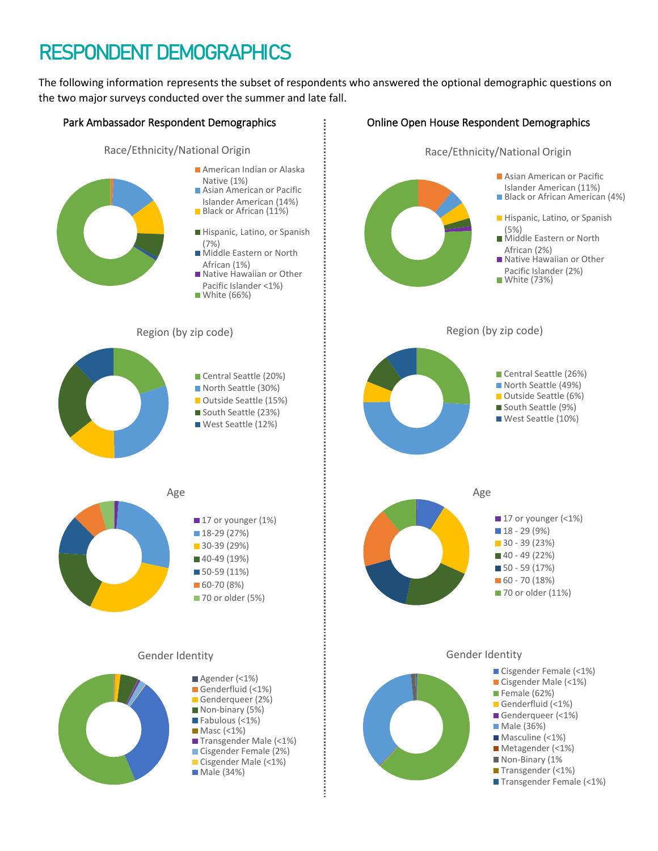# <span id="page-3-0"></span>RESPONDENT DEMOGRAPHICS

The following information represents the subset of respondents who answered the optional demographic questions on the two major surveys conducted over the summer and late fall.

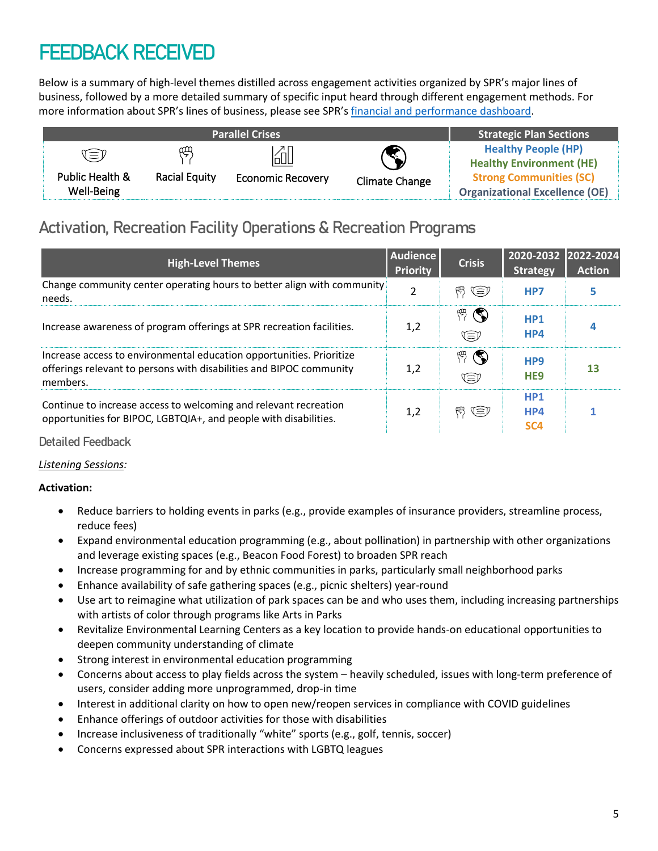# <span id="page-4-0"></span>FEEDBACK RECEIVED

Below is a summary of high-level themes distilled across engagement activities organized by SPR's major lines of business, followed by a more detailed summary of specific input heard through different engagement methods. For more information about SPR's lines of business, please see SPR'[s financial and performance dashboard.](https://data.seattle.gov/stories/s/uexj-i935)

|                 |                      | <b>Parallel Crises</b>   |                       | <b>Strategic Plan Sections</b>        |
|-----------------|----------------------|--------------------------|-----------------------|---------------------------------------|
| V≡V             | 血                    | [ál                      |                       | <b>Healthy People (HP)</b>            |
|                 |                      |                          | $\blacktriangledown$  | <b>Healthy Environment (HE)</b>       |
| Public Health & | <b>Racial Equity</b> | <b>Economic Recovery</b> | <b>Climate Change</b> | <b>Strong Communities (SC)</b>        |
| Well-Being      |                      |                          |                       | <b>Organizational Excellence (OE)</b> |

# <span id="page-4-1"></span>Activation, Recreation Facility Operations & Recreation Programs

| <b>High-Level Themes</b>                                                                                                                                | <b>Audience</b><br><b>Priority</b> | <b>Crisis</b>          | 2020-2032<br><b>Strategy</b>              | 2022-2024<br><b>Action</b> |
|---------------------------------------------------------------------------------------------------------------------------------------------------------|------------------------------------|------------------------|-------------------------------------------|----------------------------|
| Change community center operating hours to better align with community<br>needs.                                                                        | $\overline{2}$                     | 백 (E)                  | HP7                                       |                            |
| Increase awareness of program offerings at SPR recreation facilities.                                                                                   | 1,2                                | $\mathbb{P}$<br>Œ      | HP <sub>1</sub><br>HP4                    |                            |
| Increase access to environmental education opportunities. Prioritize<br>offerings relevant to persons with disabilities and BIPOC community<br>members. | 1,2                                | $\mathbb{P}(\P)$<br>Œ) | HP <sub>9</sub><br>HE <sub>9</sub>        | 13                         |
| Continue to increase access to welcoming and relevant recreation<br>opportunities for BIPOC, LGBTQIA+, and people with disabilities.                    | 1,2                                | 백 (E)                  | HP <sub>1</sub><br>HP4<br>SC <sub>4</sub> |                            |

### Detailed Feedback

### *Listening Sessions:*

### **Activation:**

- Reduce barriers to holding events in parks (e.g., provide examples of insurance providers, streamline process, reduce fees)
- Expand environmental education programming (e.g., about pollination) in partnership with other organizations and leverage existing spaces (e.g., Beacon Food Forest) to broaden SPR reach
- Increase programming for and by ethnic communities in parks, particularly small neighborhood parks
- Enhance availability of safe gathering spaces (e.g., picnic shelters) year-round
- Use art to reimagine what utilization of park spaces can be and who uses them, including increasing partnerships with artists of color through programs like Arts in Parks
- Revitalize Environmental Learning Centers as a key location to provide hands-on educational opportunities to deepen community understanding of climate
- Strong interest in environmental education programming
- Concerns about access to play fields across the system heavily scheduled, issues with long-term preference of users, consider adding more unprogrammed, drop-in time
- Interest in additional clarity on how to open new/reopen services in compliance with COVID guidelines
- Enhance offerings of outdoor activities for those with disabilities
- Increase inclusiveness of traditionally "white" sports (e.g., golf, tennis, soccer)
- Concerns expressed about SPR interactions with LGBTQ leagues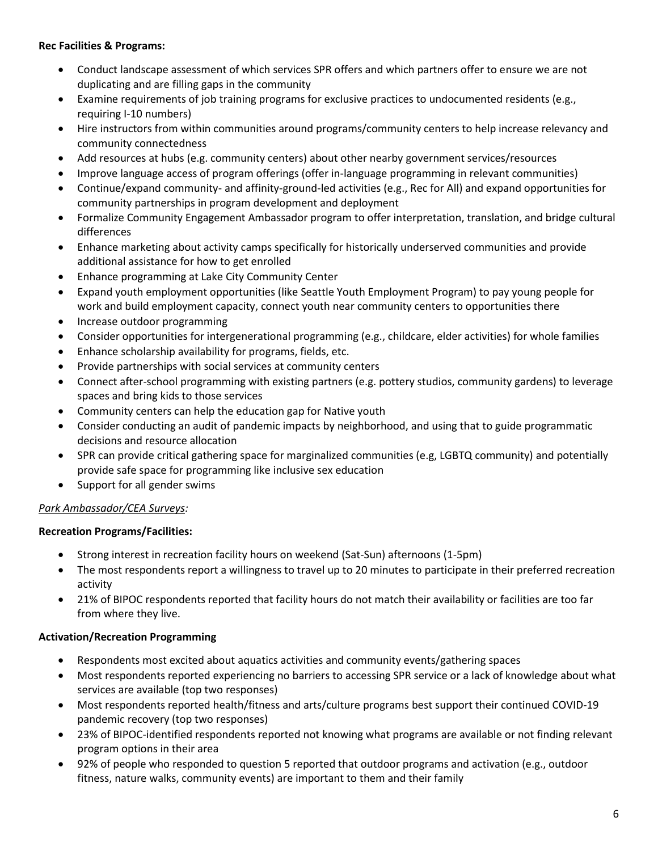### **Rec Facilities & Programs:**

- Conduct landscape assessment of which services SPR offers and which partners offer to ensure we are not duplicating and are filling gaps in the community
- Examine requirements of job training programs for exclusive practices to undocumented residents (e.g., requiring I-10 numbers)
- Hire instructors from within communities around programs/community centers to help increase relevancy and community connectedness
- Add resources at hubs (e.g. community centers) about other nearby government services/resources
- Improve language access of program offerings (offer in-language programming in relevant communities)
- Continue/expand community- and affinity-ground-led activities (e.g., Rec for All) and expand opportunities for community partnerships in program development and deployment
- Formalize Community Engagement Ambassador program to offer interpretation, translation, and bridge cultural differences
- Enhance marketing about activity camps specifically for historically underserved communities and provide additional assistance for how to get enrolled
- Enhance programming at Lake City Community Center
- Expand youth employment opportunities (like Seattle Youth Employment Program) to pay young people for work and build employment capacity, connect youth near community centers to opportunities there
- Increase outdoor programming
- Consider opportunities for intergenerational programming (e.g., childcare, elder activities) for whole families
- Enhance scholarship availability for programs, fields, etc.
- Provide partnerships with social services at community centers
- Connect after-school programming with existing partners (e.g. pottery studios, community gardens) to leverage spaces and bring kids to those services
- Community centers can help the education gap for Native youth
- Consider conducting an audit of pandemic impacts by neighborhood, and using that to guide programmatic decisions and resource allocation
- SPR can provide critical gathering space for marginalized communities (e.g, LGBTQ community) and potentially provide safe space for programming like inclusive sex education
- Support for all gender swims

### *Park Ambassador/CEA Surveys:*

### **Recreation Programs/Facilities:**

- Strong interest in recreation facility hours on weekend (Sat-Sun) afternoons (1-5pm)
- The most respondents report a willingness to travel up to 20 minutes to participate in their preferred recreation activity
- 21% of BIPOC respondents reported that facility hours do not match their availability or facilities are too far from where they live.

### **Activation/Recreation Programming**

- Respondents most excited about aquatics activities and community events/gathering spaces
- Most respondents reported experiencing no barriers to accessing SPR service or a lack of knowledge about what services are available (top two responses)
- Most respondents reported health/fitness and arts/culture programs best support their continued COVID-19 pandemic recovery (top two responses)
- 23% of BIPOC-identified respondents reported not knowing what programs are available or not finding relevant program options in their area
- 92% of people who responded to question 5 reported that outdoor programs and activation (e.g., outdoor fitness, nature walks, community events) are important to them and their family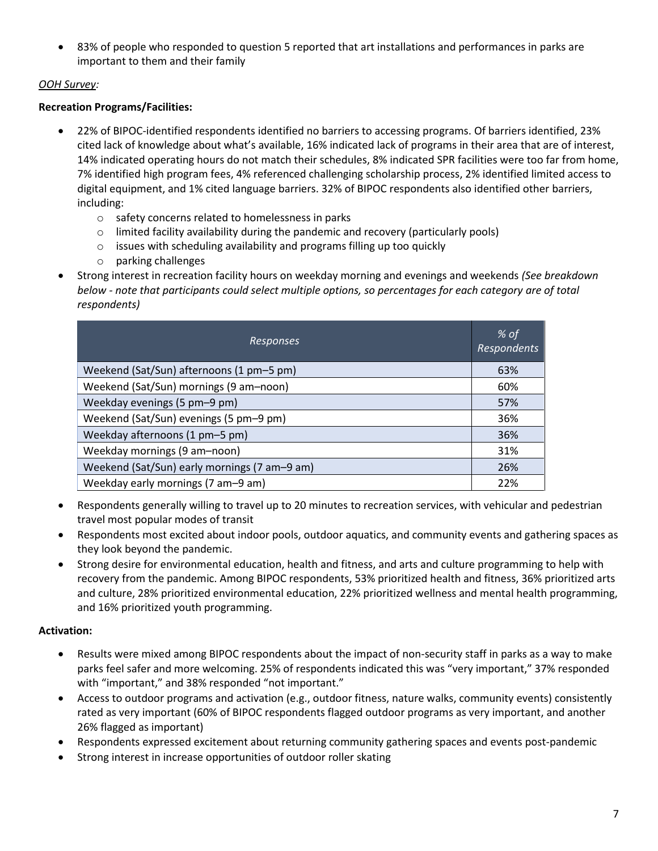83% of people who responded to question 5 reported that art installations and performances in parks are important to them and their family

### *OOH Survey:*

### **Recreation Programs/Facilities:**

- 22% of BIPOC-identified respondents identified no barriers to accessing programs. Of barriers identified, 23% cited lack of knowledge about what's available, 16% indicated lack of programs in their area that are of interest, 14% indicated operating hours do not match their schedules, 8% indicated SPR facilities were too far from home, 7% identified high program fees, 4% referenced challenging scholarship process, 2% identified limited access to digital equipment, and 1% cited language barriers. 32% of BIPOC respondents also identified other barriers, including:
	- o safety concerns related to homelessness in parks
	- $\circ$  limited facility availability during the pandemic and recovery (particularly pools)
	- o issues with scheduling availability and programs filling up too quickly
	- o parking challenges
- Strong interest in recreation facility hours on weekday morning and evenings and weekends *(See breakdown below - note that participants could select multiple options, so percentages for each category are of total respondents)*

| <b>Responses</b>                             | % of<br><b>Respondents</b> |
|----------------------------------------------|----------------------------|
| Weekend (Sat/Sun) afternoons (1 pm-5 pm)     | 63%                        |
| Weekend (Sat/Sun) mornings (9 am-noon)       | 60%                        |
| Weekday evenings (5 pm-9 pm)                 | 57%                        |
| Weekend (Sat/Sun) evenings (5 pm-9 pm)       | 36%                        |
| Weekday afternoons (1 pm-5 pm)               | 36%                        |
| Weekday mornings (9 am-noon)                 | 31%                        |
| Weekend (Sat/Sun) early mornings (7 am-9 am) | 26%                        |
| Weekday early mornings (7 am-9 am)           | 22%                        |

- Respondents generally willing to travel up to 20 minutes to recreation services, with vehicular and pedestrian travel most popular modes of transit
- Respondents most excited about indoor pools, outdoor aquatics, and community events and gathering spaces as they look beyond the pandemic.
- Strong desire for environmental education, health and fitness, and arts and culture programming to help with recovery from the pandemic. Among BIPOC respondents, 53% prioritized health and fitness, 36% prioritized arts and culture, 28% prioritized environmental education, 22% prioritized wellness and mental health programming, and 16% prioritized youth programming.

### **Activation:**

- Results were mixed among BIPOC respondents about the impact of non-security staff in parks as a way to make parks feel safer and more welcoming. 25% of respondents indicated this was "very important," 37% responded with "important," and 38% responded "not important."
- Access to outdoor programs and activation (e.g., outdoor fitness, nature walks, community events) consistently rated as very important (60% of BIPOC respondents flagged outdoor programs as very important, and another 26% flagged as important)
- Respondents expressed excitement about returning community gathering spaces and events post-pandemic
- Strong interest in increase opportunities of outdoor roller skating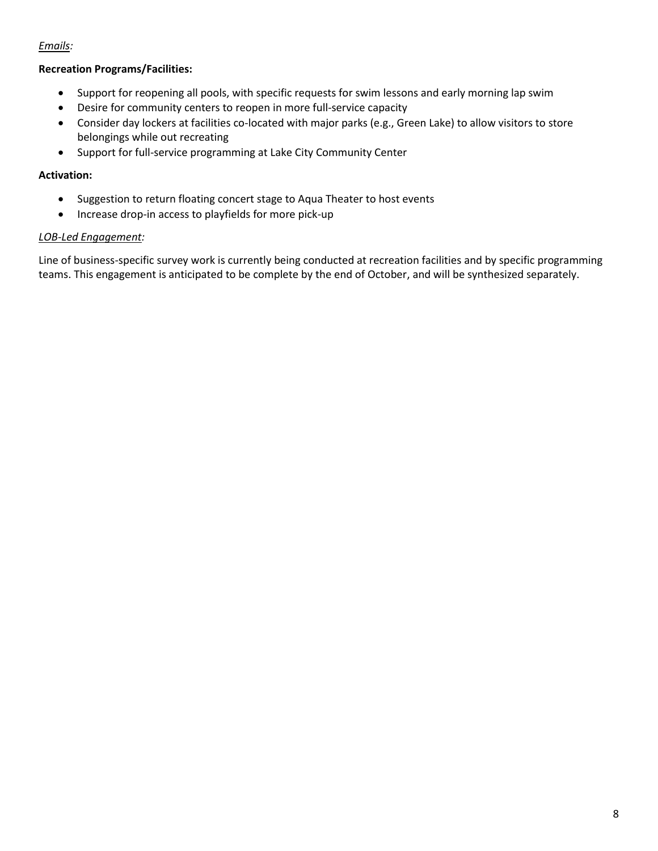### *Emails:*

### **Recreation Programs/Facilities:**

- Support for reopening all pools, with specific requests for swim lessons and early morning lap swim
- Desire for community centers to reopen in more full-service capacity
- Consider day lockers at facilities co-located with major parks (e.g., Green Lake) to allow visitors to store belongings while out recreating
- Support for full-service programming at Lake City Community Center

### **Activation:**

- Suggestion to return floating concert stage to Aqua Theater to host events
- Increase drop-in access to playfields for more pick-up

### *LOB-Led Engagement:*

Line of business-specific survey work is currently being conducted at recreation facilities and by specific programming teams. This engagement is anticipated to be complete by the end of October, and will be synthesized separately.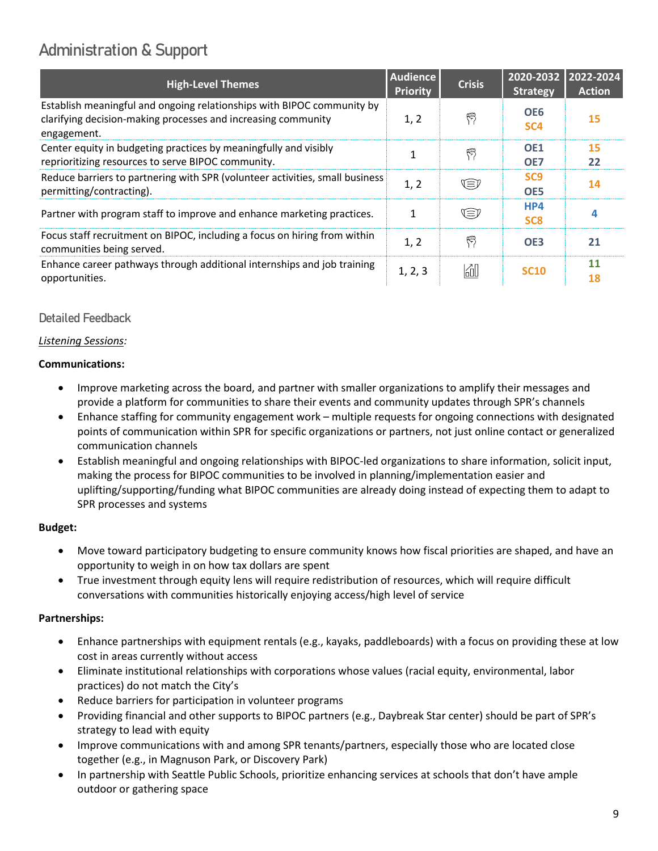# <span id="page-8-0"></span>Administration & Support

| <b>High-Level Themes</b>                                                                                                                               | <b>Audience</b><br><b>Priority</b> | <b>Crisis</b> | 2020-2032<br><b>Strategy</b>       | 2022-2024<br><b>Action</b> |
|--------------------------------------------------------------------------------------------------------------------------------------------------------|------------------------------------|---------------|------------------------------------|----------------------------|
| Establish meaningful and ongoing relationships with BIPOC community by<br>clarifying decision-making processes and increasing community<br>engagement. | 1, 2                               | 熌             | OE <sub>6</sub><br>SC <sub>4</sub> | <b>15</b>                  |
| Center equity in budgeting practices by meaningfully and visibly<br>reprioritizing resources to serve BIPOC community.                                 |                                    | 愕             | OE <sub>1</sub><br>OE7             | <b>15</b><br>22            |
| Reduce barriers to partnering with SPR (volunteer activities, small business<br>permitting/contracting).                                               | 1, 2                               | Œ             | SC <sub>9</sub><br>OE5             | 14                         |
| Partner with program staff to improve and enhance marketing practices.                                                                                 | 1                                  | V≡V           | HP4<br>SC <sub>8</sub>             | 4                          |
| Focus staff recruitment on BIPOC, including a focus on hiring from within<br>communities being served.                                                 | 1, 2                               | 閃             | OE <sub>3</sub>                    | 21                         |
| Enhance career pathways through additional internships and job training<br>opportunities.                                                              | 1, 2, 3                            | 60            | <b>SC10</b>                        | 11<br>18                   |

### Detailed Feedback

### *Listening Sessions:*

### **Communications:**

- Improve marketing across the board, and partner with smaller organizations to amplify their messages and provide a platform for communities to share their events and community updates through SPR's channels
- Enhance staffing for community engagement work multiple requests for ongoing connections with designated points of communication within SPR for specific organizations or partners, not just online contact or generalized communication channels
- Establish meaningful and ongoing relationships with BIPOC-led organizations to share information, solicit input, making the process for BIPOC communities to be involved in planning/implementation easier and uplifting/supporting/funding what BIPOC communities are already doing instead of expecting them to adapt to SPR processes and systems

### **Budget:**

- Move toward participatory budgeting to ensure community knows how fiscal priorities are shaped, and have an opportunity to weigh in on how tax dollars are spent
- True investment through equity lens will require redistribution of resources, which will require difficult conversations with communities historically enjoying access/high level of service

### **Partnerships:**

- Enhance partnerships with equipment rentals (e.g., kayaks, paddleboards) with a focus on providing these at low cost in areas currently without access
- Eliminate institutional relationships with corporations whose values (racial equity, environmental, labor practices) do not match the City's
- Reduce barriers for participation in volunteer programs
- Providing financial and other supports to BIPOC partners (e.g., Daybreak Star center) should be part of SPR's strategy to lead with equity
- Improve communications with and among SPR tenants/partners, especially those who are located close together (e.g., in Magnuson Park, or Discovery Park)
- In partnership with Seattle Public Schools, prioritize enhancing services at schools that don't have ample outdoor or gathering space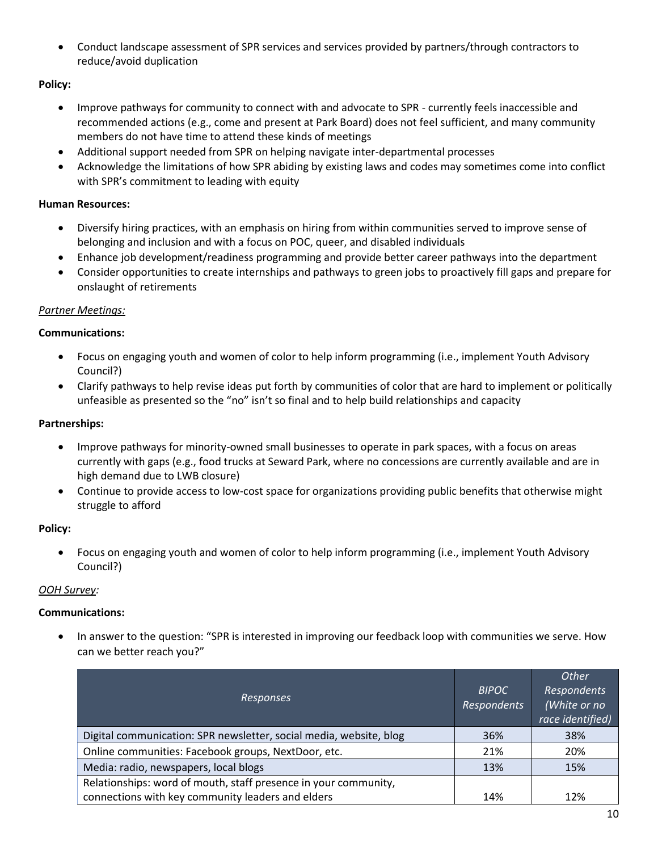• Conduct landscape assessment of SPR services and services provided by partners/through contractors to reduce/avoid duplication

### **Policy:**

- Improve pathways for community to connect with and advocate to SPR currently feels inaccessible and recommended actions (e.g., come and present at Park Board) does not feel sufficient, and many community members do not have time to attend these kinds of meetings
- Additional support needed from SPR on helping navigate inter-departmental processes
- Acknowledge the limitations of how SPR abiding by existing laws and codes may sometimes come into conflict with SPR's commitment to leading with equity

### **Human Resources:**

- Diversify hiring practices, with an emphasis on hiring from within communities served to improve sense of belonging and inclusion and with a focus on POC, queer, and disabled individuals
- Enhance job development/readiness programming and provide better career pathways into the department
- Consider opportunities to create internships and pathways to green jobs to proactively fill gaps and prepare for onslaught of retirements

### *Partner Meetings:*

### **Communications:**

- Focus on engaging youth and women of color to help inform programming (i.e., implement Youth Advisory Council?)
- Clarify pathways to help revise ideas put forth by communities of color that are hard to implement or politically unfeasible as presented so the "no" isn't so final and to help build relationships and capacity

### **Partnerships:**

- Improve pathways for minority-owned small businesses to operate in park spaces, with a focus on areas currently with gaps (e.g., food trucks at Seward Park, where no concessions are currently available and are in high demand due to LWB closure)
- Continue to provide access to low-cost space for organizations providing public benefits that otherwise might struggle to afford

### **Policy:**

• Focus on engaging youth and women of color to help inform programming (i.e., implement Youth Advisory Council?)

### *OOH Survey:*

### **Communications:**

• In answer to the question: "SPR is interested in improving our feedback loop with communities we serve. How can we better reach you?"

| <b>Responses</b>                                                   | <b>BIPOC</b><br>Respondents | Other<br><b>Respondents</b><br>(White or no<br>race identified) |
|--------------------------------------------------------------------|-----------------------------|-----------------------------------------------------------------|
| Digital communication: SPR newsletter, social media, website, blog | 36%                         | 38%                                                             |
| Online communities: Facebook groups, NextDoor, etc.                | 21%                         | 20%                                                             |
| Media: radio, newspapers, local blogs                              | 13%                         | 15%                                                             |
| Relationships: word of mouth, staff presence in your community,    |                             |                                                                 |
| connections with key community leaders and elders                  | 14%                         | 12%                                                             |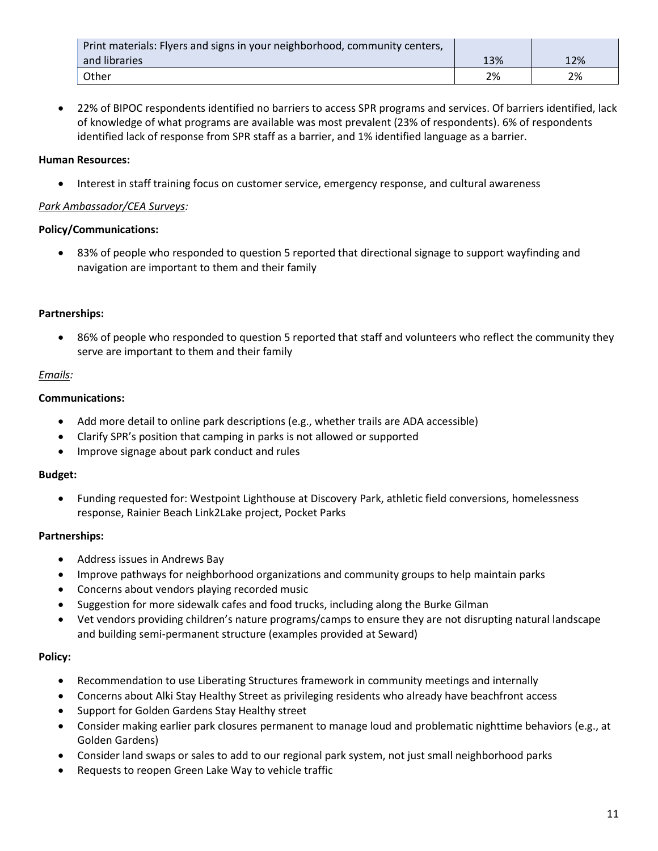| Print materials: Flyers and signs in your neighborhood, community centers, |     |     |
|----------------------------------------------------------------------------|-----|-----|
| and libraries                                                              | 13% | 12% |
| Other                                                                      | 2%  | 2%  |

• 22% of BIPOC respondents identified no barriers to access SPR programs and services. Of barriers identified, lack of knowledge of what programs are available was most prevalent (23% of respondents). 6% of respondents identified lack of response from SPR staff as a barrier, and 1% identified language as a barrier.

### **Human Resources:**

• Interest in staff training focus on customer service, emergency response, and cultural awareness

### *Park Ambassador/CEA Surveys:*

### **Policy/Communications:**

• 83% of people who responded to question 5 reported that directional signage to support wayfinding and navigation are important to them and their family

### **Partnerships:**

• 86% of people who responded to question 5 reported that staff and volunteers who reflect the community they serve are important to them and their family

### *Emails:*

### **Communications:**

- Add more detail to online park descriptions (e.g., whether trails are ADA accessible)
- Clarify SPR's position that camping in parks is not allowed or supported
- Improve signage about park conduct and rules

### **Budget:**

• Funding requested for: Westpoint Lighthouse at Discovery Park, athletic field conversions, homelessness response, Rainier Beach Link2Lake project, Pocket Parks

### **Partnerships:**

- Address issues in Andrews Bay
- Improve pathways for neighborhood organizations and community groups to help maintain parks
- Concerns about vendors playing recorded music
- Suggestion for more sidewalk cafes and food trucks, including along the Burke Gilman
- Vet vendors providing children's nature programs/camps to ensure they are not disrupting natural landscape and building semi-permanent structure (examples provided at Seward)

### **Policy:**

- Recommendation to use Liberating Structures framework in community meetings and internally
- Concerns about Alki Stay Healthy Street as privileging residents who already have beachfront access
- Support for Golden Gardens Stay Healthy street
- Consider making earlier park closures permanent to manage loud and problematic nighttime behaviors (e.g., at Golden Gardens)
- Consider land swaps or sales to add to our regional park system, not just small neighborhood parks
- Requests to reopen Green Lake Way to vehicle traffic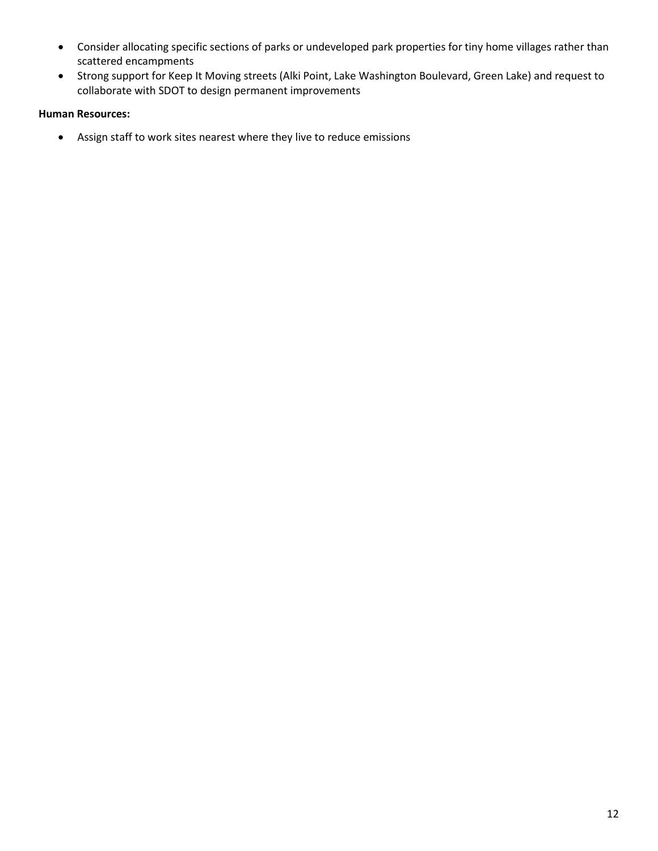- Consider allocating specific sections of parks or undeveloped park properties for tiny home villages rather than scattered encampments
- Strong support for Keep It Moving streets (Alki Point, Lake Washington Boulevard, Green Lake) and request to collaborate with SDOT to design permanent improvements

### **Human Resources:**

• Assign staff to work sites nearest where they live to reduce emissions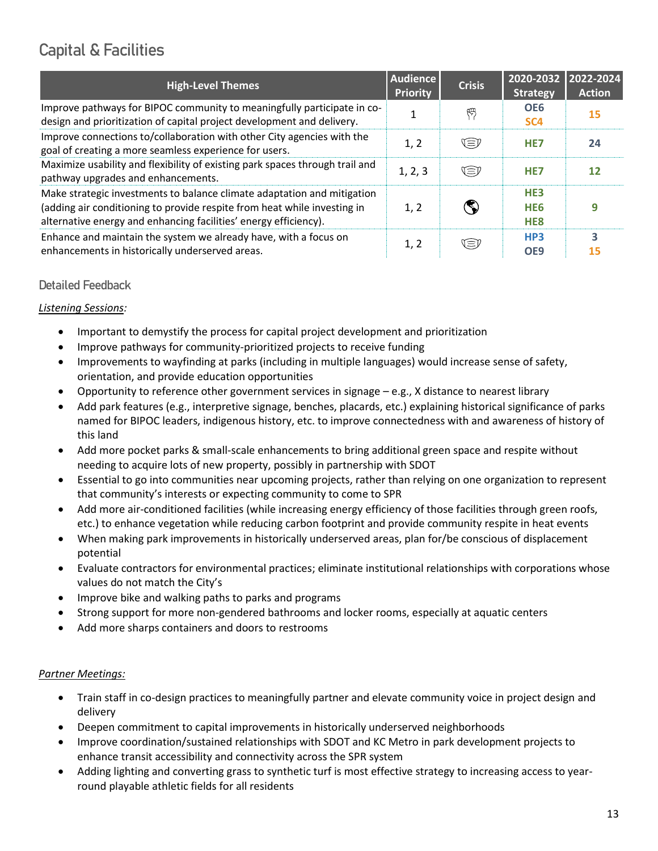# <span id="page-12-0"></span>Capital & Facilities

| <b>High-Level Themes</b>                                                                                                                                                                                                | <b>Audience</b><br>Priority | <b>Crisis</b> | 2020-2032<br><b>Strategy</b>                          | 2022-2024<br><b>Action</b> |
|-------------------------------------------------------------------------------------------------------------------------------------------------------------------------------------------------------------------------|-----------------------------|---------------|-------------------------------------------------------|----------------------------|
| Improve pathways for BIPOC community to meaningfully participate in co-<br>design and prioritization of capital project development and delivery.                                                                       |                             | 倁             | OE <sub>6</sub><br>SC <sub>4</sub>                    | 15                         |
| Improve connections to/collaboration with other City agencies with the<br>goal of creating a more seamless experience for users.                                                                                        | 1, 2                        | V≡V           | HE <sub>7</sub>                                       | 24                         |
| Maximize usability and flexibility of existing park spaces through trail and<br>pathway upgrades and enhancements.                                                                                                      | 1, 2, 3                     | Œ₽            | HE <sub>7</sub>                                       | 12                         |
| Make strategic investments to balance climate adaptation and mitigation<br>(adding air conditioning to provide respite from heat while investing in<br>alternative energy and enhancing facilities' energy efficiency). | 1, 2                        |               | HE <sub>3</sub><br>HE <sub>6</sub><br>HE <sub>8</sub> |                            |
| Enhance and maintain the system we already have, with a focus on<br>enhancements in historically underserved areas.                                                                                                     | 1, 2                        | ง≡เ           | HP3<br>OE <sub>9</sub>                                | 3<br>15                    |

### Detailed Feedback

### *Listening Sessions:*

- Important to demystify the process for capital project development and prioritization
- Improve pathways for community-prioritized projects to receive funding
- Improvements to wayfinding at parks (including in multiple languages) would increase sense of safety, orientation, and provide education opportunities
- Opportunity to reference other government services in signage e.g., X distance to nearest library
- Add park features (e.g., interpretive signage, benches, placards, etc.) explaining historical significance of parks named for BIPOC leaders, indigenous history, etc. to improve connectedness with and awareness of history of this land
- Add more pocket parks & small-scale enhancements to bring additional green space and respite without needing to acquire lots of new property, possibly in partnership with SDOT
- Essential to go into communities near upcoming projects, rather than relying on one organization to represent that community's interests or expecting community to come to SPR
- Add more air-conditioned facilities (while increasing energy efficiency of those facilities through green roofs, etc.) to enhance vegetation while reducing carbon footprint and provide community respite in heat events
- When making park improvements in historically underserved areas, plan for/be conscious of displacement potential
- Evaluate contractors for environmental practices; eliminate institutional relationships with corporations whose values do not match the City's
- Improve bike and walking paths to parks and programs
- Strong support for more non-gendered bathrooms and locker rooms, especially at aquatic centers
- Add more sharps containers and doors to restrooms

### *Partner Meetings:*

- Train staff in co-design practices to meaningfully partner and elevate community voice in project design and delivery
- Deepen commitment to capital improvements in historically underserved neighborhoods
- Improve coordination/sustained relationships with SDOT and KC Metro in park development projects to enhance transit accessibility and connectivity across the SPR system
- Adding lighting and converting grass to synthetic turf is most effective strategy to increasing access to yearround playable athletic fields for all residents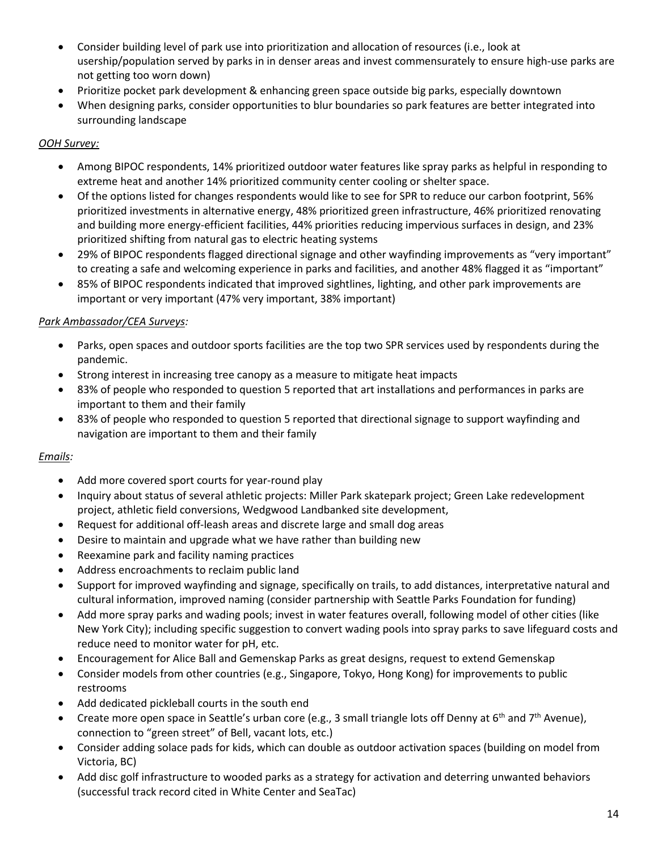- Consider building level of park use into prioritization and allocation of resources (i.e., look at usership/population served by parks in in denser areas and invest commensurately to ensure high-use parks are not getting too worn down)
- Prioritize pocket park development & enhancing green space outside big parks, especially downtown
- When designing parks, consider opportunities to blur boundaries so park features are better integrated into surrounding landscape

### *OOH Survey:*

- Among BIPOC respondents, 14% prioritized outdoor water features like spray parks as helpful in responding to extreme heat and another 14% prioritized community center cooling or shelter space.
- Of the options listed for changes respondents would like to see for SPR to reduce our carbon footprint, 56% prioritized investments in alternative energy, 48% prioritized green infrastructure, 46% prioritized renovating and building more energy-efficient facilities, 44% priorities reducing impervious surfaces in design, and 23% prioritized shifting from natural gas to electric heating systems
- 29% of BIPOC respondents flagged directional signage and other wayfinding improvements as "very important" to creating a safe and welcoming experience in parks and facilities, and another 48% flagged it as "important"
- 85% of BIPOC respondents indicated that improved sightlines, lighting, and other park improvements are important or very important (47% very important, 38% important)

### *Park Ambassador/CEA Surveys:*

- Parks, open spaces and outdoor sports facilities are the top two SPR services used by respondents during the pandemic.
- Strong interest in increasing tree canopy as a measure to mitigate heat impacts
- 83% of people who responded to question 5 reported that art installations and performances in parks are important to them and their family
- 83% of people who responded to question 5 reported that directional signage to support wayfinding and navigation are important to them and their family

### *Emails:*

- Add more covered sport courts for year-round play
- Inquiry about status of several athletic projects: Miller Park skatepark project; Green Lake redevelopment project, athletic field conversions, Wedgwood Landbanked site development,
- Request for additional off-leash areas and discrete large and small dog areas
- Desire to maintain and upgrade what we have rather than building new
- Reexamine park and facility naming practices
- Address encroachments to reclaim public land
- Support for improved wayfinding and signage, specifically on trails, to add distances, interpretative natural and cultural information, improved naming (consider partnership with Seattle Parks Foundation for funding)
- Add more spray parks and wading pools; invest in water features overall, following model of other cities (like New York City); including specific suggestion to convert wading pools into spray parks to save lifeguard costs and reduce need to monitor water for pH, etc.
- Encouragement for Alice Ball and Gemenskap Parks as great designs, request to extend Gemenskap
- Consider models from other countries (e.g., Singapore, Tokyo, Hong Kong) for improvements to public restrooms
- Add dedicated pickleball courts in the south end
- Create more open space in Seattle's urban core (e.g., 3 small triangle lots off Denny at  $6<sup>th</sup>$  and  $7<sup>th</sup>$  Avenue), connection to "green street" of Bell, vacant lots, etc.)
- Consider adding solace pads for kids, which can double as outdoor activation spaces (building on model from Victoria, BC)
- Add disc golf infrastructure to wooded parks as a strategy for activation and deterring unwanted behaviors (successful track record cited in White Center and SeaTac)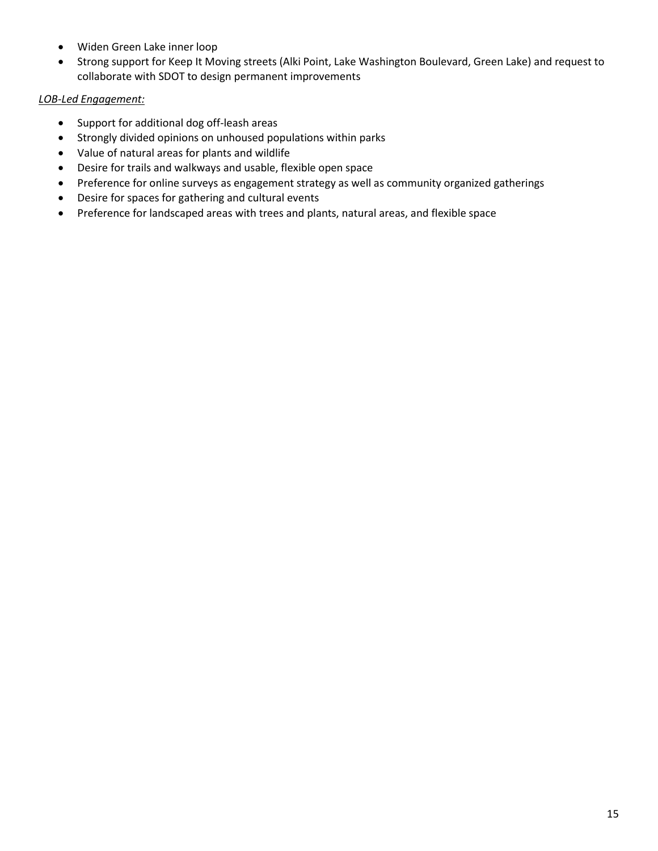- Widen Green Lake inner loop
- Strong support for Keep It Moving streets (Alki Point, Lake Washington Boulevard, Green Lake) and request to collaborate with SDOT to design permanent improvements

### *LOB-Led Engagement:*

- Support for additional dog off-leash areas
- Strongly divided opinions on unhoused populations within parks
- Value of natural areas for plants and wildlife
- Desire for trails and walkways and usable, flexible open space
- Preference for online surveys as engagement strategy as well as community organized gatherings
- Desire for spaces for gathering and cultural events
- Preference for landscaped areas with trees and plants, natural areas, and flexible space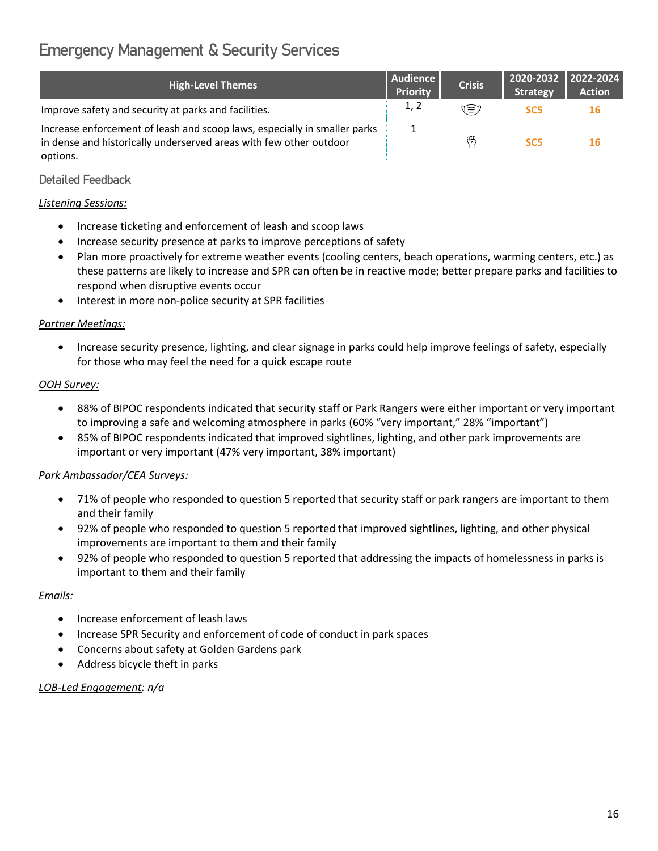# <span id="page-15-0"></span>Emergency Management & Security Services

| <b>High-Level Themes</b>                                                                                                                                    | Audience<br><b>Priority</b> | <b>Crisis</b> | 2020-2032   2022-2024  <br><b>Strategy</b> | <b>Action</b> |
|-------------------------------------------------------------------------------------------------------------------------------------------------------------|-----------------------------|---------------|--------------------------------------------|---------------|
| Improve safety and security at parks and facilities.                                                                                                        | 1, 2                        | V≡V           | SC <sub>5</sub>                            | 16            |
| Increase enforcement of leash and scoop laws, especially in smaller parks<br>in dense and historically underserved areas with few other outdoor<br>options. |                             | 鸭             | SC <sub>5</sub>                            | <b>16</b>     |

### Detailed Feedback

### *Listening Sessions:*

- Increase ticketing and enforcement of leash and scoop laws
- Increase security presence at parks to improve perceptions of safety
- Plan more proactively for extreme weather events (cooling centers, beach operations, warming centers, etc.) as these patterns are likely to increase and SPR can often be in reactive mode; better prepare parks and facilities to respond when disruptive events occur
- Interest in more non-police security at SPR facilities

### *Partner Meetings:*

• Increase security presence, lighting, and clear signage in parks could help improve feelings of safety, especially for those who may feel the need for a quick escape route

### *OOH Survey:*

- 88% of BIPOC respondents indicated that security staff or Park Rangers were either important or very important to improving a safe and welcoming atmosphere in parks (60% "very important," 28% "important")
- 85% of BIPOC respondents indicated that improved sightlines, lighting, and other park improvements are important or very important (47% very important, 38% important)

### *Park Ambassador/CEA Surveys:*

- 71% of people who responded to question 5 reported that security staff or park rangers are important to them and their family
- 92% of people who responded to question 5 reported that improved sightlines, lighting, and other physical improvements are important to them and their family
- 92% of people who responded to question 5 reported that addressing the impacts of homelessness in parks is important to them and their family

### *Emails:*

- Increase enforcement of leash laws
- Increase SPR Security and enforcement of code of conduct in park spaces
- Concerns about safety at Golden Gardens park
- Address bicycle theft in parks

### *LOB-Led Engagement: n/a*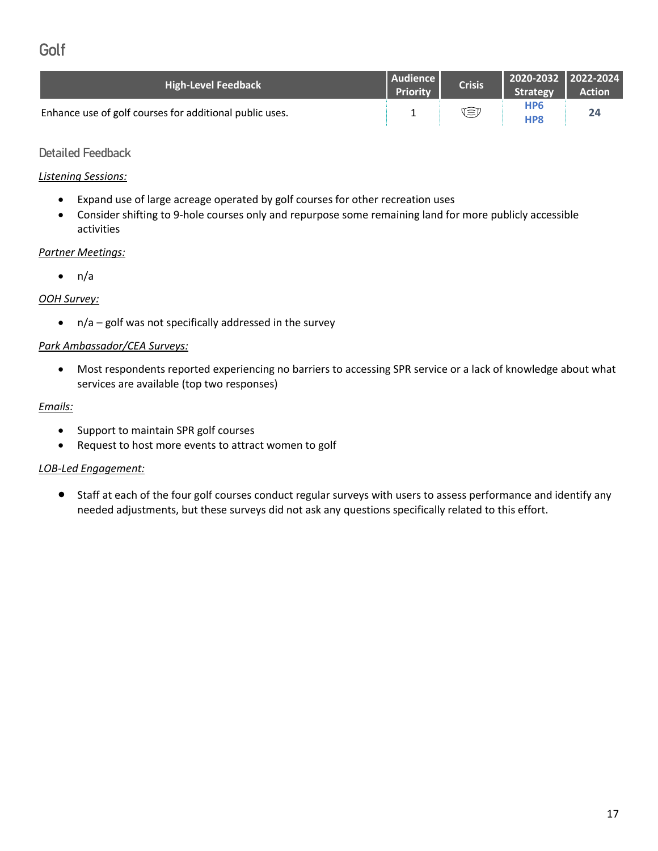## <span id="page-16-0"></span>Golf

| <b>High-Level Feedback</b>                              | Audience<br><b>Priority</b> | <b>Crisis</b> | 2020-2032   2022-2024<br>Strategy  | <b>Action</b> |
|---------------------------------------------------------|-----------------------------|---------------|------------------------------------|---------------|
| Enhance use of golf courses for additional public uses. |                             | ŒJ            | HP <sub>6</sub><br>HP <sub>8</sub> | 24            |

### Detailed Feedback

### *Listening Sessions:*

- Expand use of large acreage operated by golf courses for other recreation uses
- Consider shifting to 9-hole courses only and repurpose some remaining land for more publicly accessible activities

### *Partner Meetings:*

 $\bullet$  n/a

### *OOH Survey:*

 $\bullet$  n/a – golf was not specifically addressed in the survey

### *Park Ambassador/CEA Surveys:*

• Most respondents reported experiencing no barriers to accessing SPR service or a lack of knowledge about what services are available (top two responses)

### *Emails:*

- Support to maintain SPR golf courses
- Request to host more events to attract women to golf

### *LOB-Led Engagement:*

• Staff at each of the four golf courses conduct regular surveys with users to assess performance and identify any needed adjustments, but these surveys did not ask any questions specifically related to this effort.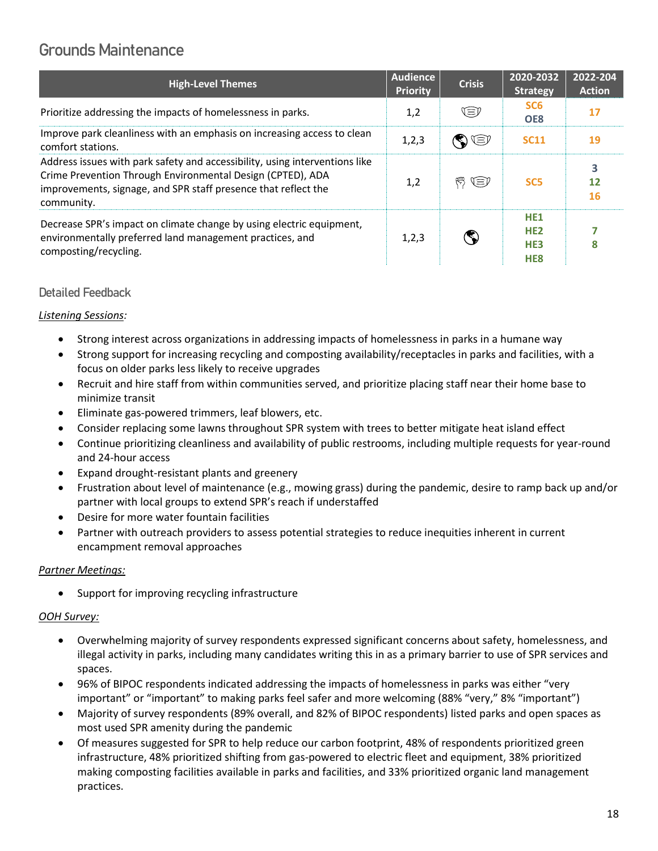## <span id="page-17-0"></span>Grounds Maintenance

| <b>High-Level Themes</b>                                                                                                                                                                                                  | <b>Audience</b><br><b>Priority</b> | <b>Crisis</b>          | 2020-2032<br><b>Strategy</b>                                             | 2022-204<br><b>Action</b> |
|---------------------------------------------------------------------------------------------------------------------------------------------------------------------------------------------------------------------------|------------------------------------|------------------------|--------------------------------------------------------------------------|---------------------------|
| Prioritize addressing the impacts of homelessness in parks.                                                                                                                                                               | 1,2                                | V≡)                    | SC <sub>6</sub><br>OE8                                                   | 17                        |
| Improve park cleanliness with an emphasis on increasing access to clean<br>comfort stations.                                                                                                                              | 1,2,3                              | S T                    | <b>SC11</b>                                                              | 19                        |
| Address issues with park safety and accessibility, using interventions like<br>Crime Prevention Through Environmental Design (CPTED), ADA<br>improvements, signage, and SPR staff presence that reflect the<br>community. | 1,2                                | $\mathfrak{B} \Subset$ | SC <sub>5</sub>                                                          | 3<br>12<br><b>16</b>      |
| Decrease SPR's impact on climate change by using electric equipment,<br>environmentally preferred land management practices, and<br>composting/recycling.                                                                 | 1,2,3                              |                        | HE <sub>1</sub><br>HE <sub>2</sub><br>HE <sub>3</sub><br>HE <sub>8</sub> | 8                         |

### Detailed Feedback

### *Listening Sessions:*

- Strong interest across organizations in addressing impacts of homelessness in parks in a humane way
- Strong support for increasing recycling and composting availability/receptacles in parks and facilities, with a focus on older parks less likely to receive upgrades
- Recruit and hire staff from within communities served, and prioritize placing staff near their home base to minimize transit
- Eliminate gas-powered trimmers, leaf blowers, etc.
- Consider replacing some lawns throughout SPR system with trees to better mitigate heat island effect
- Continue prioritizing cleanliness and availability of public restrooms, including multiple requests for year-round and 24-hour access
- Expand drought-resistant plants and greenery
- Frustration about level of maintenance (e.g., mowing grass) during the pandemic, desire to ramp back up and/or partner with local groups to extend SPR's reach if understaffed
- Desire for more water fountain facilities
- Partner with outreach providers to assess potential strategies to reduce inequities inherent in current encampment removal approaches

### *Partner Meetings:*

Support for improving recycling infrastructure

### *OOH Survey:*

- Overwhelming majority of survey respondents expressed significant concerns about safety, homelessness, and illegal activity in parks, including many candidates writing this in as a primary barrier to use of SPR services and spaces.
- 96% of BIPOC respondents indicated addressing the impacts of homelessness in parks was either "very important" or "important" to making parks feel safer and more welcoming (88% "very," 8% "important")
- Majority of survey respondents (89% overall, and 82% of BIPOC respondents) listed parks and open spaces as most used SPR amenity during the pandemic
- Of measures suggested for SPR to help reduce our carbon footprint, 48% of respondents prioritized green infrastructure, 48% prioritized shifting from gas-powered to electric fleet and equipment, 38% prioritized making composting facilities available in parks and facilities, and 33% prioritized organic land management practices.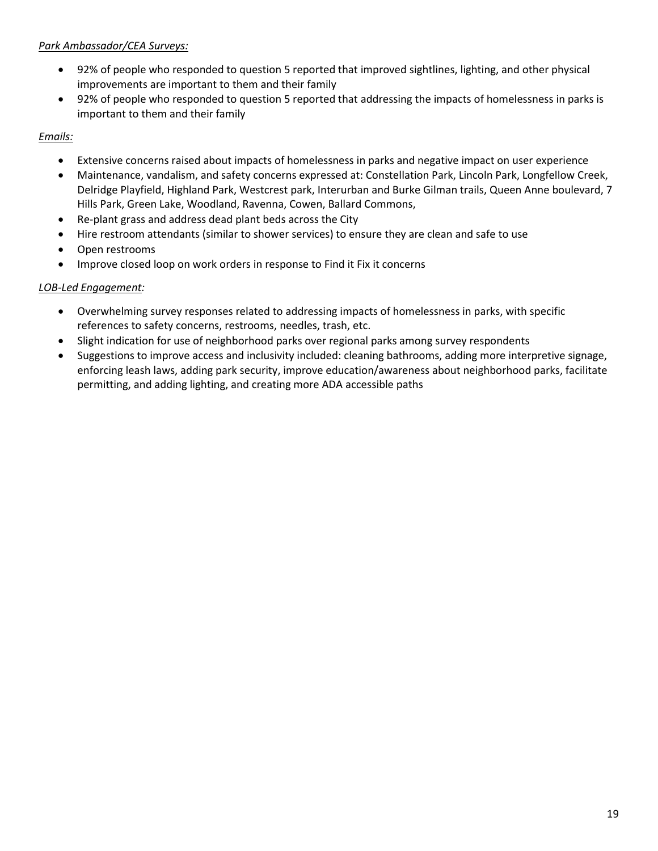### *Park Ambassador/CEA Surveys:*

- 92% of people who responded to question 5 reported that improved sightlines, lighting, and other physical improvements are important to them and their family
- 92% of people who responded to question 5 reported that addressing the impacts of homelessness in parks is important to them and their family

### *Emails:*

- Extensive concerns raised about impacts of homelessness in parks and negative impact on user experience
- Maintenance, vandalism, and safety concerns expressed at: Constellation Park, Lincoln Park, Longfellow Creek, Delridge Playfield, Highland Park, Westcrest park, Interurban and Burke Gilman trails, Queen Anne boulevard, 7 Hills Park, Green Lake, Woodland, Ravenna, Cowen, Ballard Commons,
- Re-plant grass and address dead plant beds across the City
- Hire restroom attendants (similar to shower services) to ensure they are clean and safe to use
- Open restrooms
- Improve closed loop on work orders in response to Find it Fix it concerns

### *LOB-Led Engagement:*

- Overwhelming survey responses related to addressing impacts of homelessness in parks, with specific references to safety concerns, restrooms, needles, trash, etc.
- Slight indication for use of neighborhood parks over regional parks among survey respondents
- Suggestions to improve access and inclusivity included: cleaning bathrooms, adding more interpretive signage, enforcing leash laws, adding park security, improve education/awareness about neighborhood parks, facilitate permitting, and adding lighting, and creating more ADA accessible paths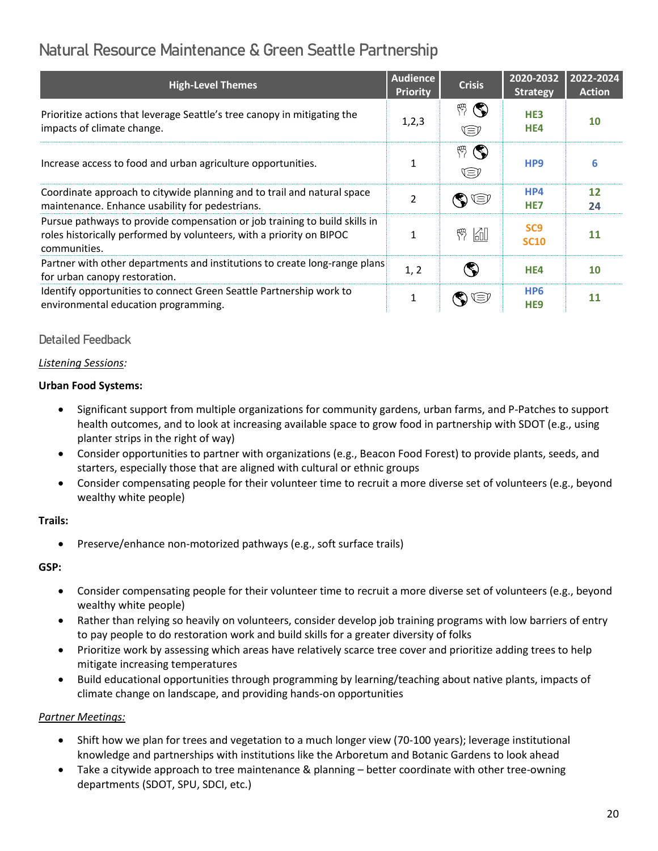# <span id="page-19-0"></span>Natural Resource Maintenance & Green Seattle Partnership

| <b>High-Level Themes</b>                                                                                                                                           | <b>Audience</b><br><b>Priority</b> | <b>Crisis</b>                 | 2020-2032<br><b>Strategy</b>       | 2022-2024<br><b>Action</b> |
|--------------------------------------------------------------------------------------------------------------------------------------------------------------------|------------------------------------|-------------------------------|------------------------------------|----------------------------|
| Prioritize actions that leverage Seattle's tree canopy in mitigating the<br>impacts of climate change.                                                             | 1, 2, 3                            | $\mathbb{F}(\mathbb{C})$<br>Œ | HE <sub>3</sub><br>HE4             | 10                         |
| Increase access to food and urban agriculture opportunities.                                                                                                       |                                    | $\mathbb{P}(\mathbb{Q})$<br>Œ | HP <sub>9</sub>                    | 6                          |
| Coordinate approach to citywide planning and to trail and natural space<br>maintenance. Enhance usability for pedestrians.                                         | $\mathfrak{p}$                     | $\textcircled{\tiny\star}$    | HP4<br>HE <sub>7</sub>             | $12 \overline{ }$<br>24    |
| Pursue pathways to provide compensation or job training to build skills in<br>roles historically performed by volunteers, with a priority on BIPOC<br>communities. | 1                                  | 岡<br>愕                        | SC <sub>9</sub><br><b>SC10</b>     | 11                         |
| Partner with other departments and institutions to create long-range plans<br>for urban canopy restoration.                                                        | 1, 2                               | S)                            | HE4                                | 10                         |
| Identify opportunities to connect Green Seattle Partnership work to<br>environmental education programming.                                                        | 1                                  | ί≡                            | HP <sub>6</sub><br>HE <sub>9</sub> | 11                         |

### Detailed Feedback

### *Listening Sessions:*

### **Urban Food Systems:**

- Significant support from multiple organizations for community gardens, urban farms, and P-Patches to support health outcomes, and to look at increasing available space to grow food in partnership with SDOT (e.g., using planter strips in the right of way)
- Consider opportunities to partner with organizations (e.g., Beacon Food Forest) to provide plants, seeds, and starters, especially those that are aligned with cultural or ethnic groups
- Consider compensating people for their volunteer time to recruit a more diverse set of volunteers (e.g., beyond wealthy white people)

### **Trails:**

• Preserve/enhance non-motorized pathways (e.g., soft surface trails)

### **GSP:**

- Consider compensating people for their volunteer time to recruit a more diverse set of volunteers (e.g., beyond wealthy white people)
- Rather than relying so heavily on volunteers, consider develop job training programs with low barriers of entry to pay people to do restoration work and build skills for a greater diversity of folks
- Prioritize work by assessing which areas have relatively scarce tree cover and prioritize adding trees to help mitigate increasing temperatures
- Build educational opportunities through programming by learning/teaching about native plants, impacts of climate change on landscape, and providing hands-on opportunities

### *Partner Meetings:*

- Shift how we plan for trees and vegetation to a much longer view (70-100 years); leverage institutional knowledge and partnerships with institutions like the Arboretum and Botanic Gardens to look ahead
- Take a citywide approach to tree maintenance & planning better coordinate with other tree-owning departments (SDOT, SPU, SDCI, etc.)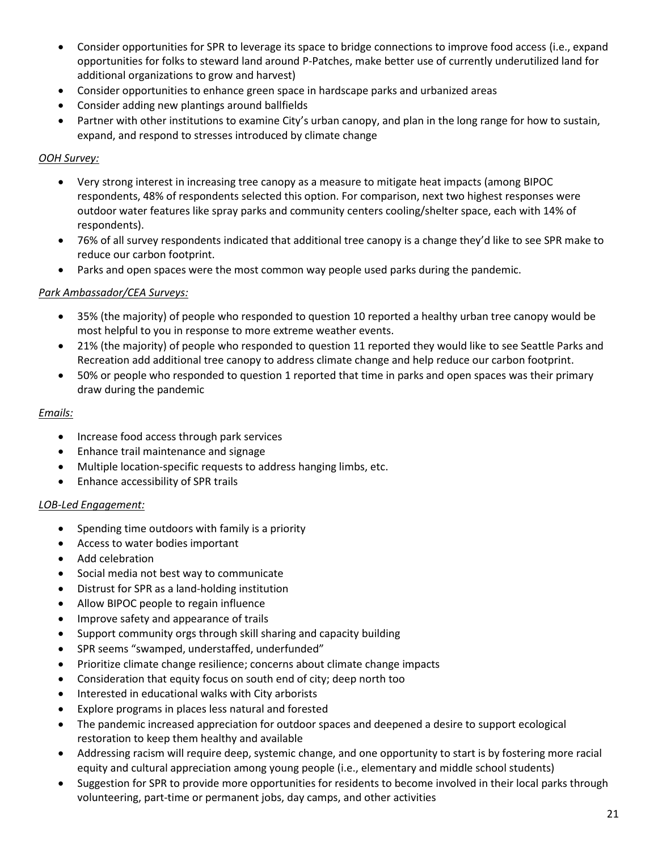- Consider opportunities for SPR to leverage its space to bridge connections to improve food access (i.e., expand opportunities for folks to steward land around P-Patches, make better use of currently underutilized land for additional organizations to grow and harvest)
- Consider opportunities to enhance green space in hardscape parks and urbanized areas
- Consider adding new plantings around ballfields
- Partner with other institutions to examine City's urban canopy, and plan in the long range for how to sustain, expand, and respond to stresses introduced by climate change

### *OOH Survey:*

- Very strong interest in increasing tree canopy as a measure to mitigate heat impacts (among BIPOC respondents, 48% of respondents selected this option. For comparison, next two highest responses were outdoor water features like spray parks and community centers cooling/shelter space, each with 14% of respondents).
- 76% of all survey respondents indicated that additional tree canopy is a change they'd like to see SPR make to reduce our carbon footprint.
- Parks and open spaces were the most common way people used parks during the pandemic.

### *Park Ambassador/CEA Surveys:*

- 35% (the majority) of people who responded to question 10 reported a healthy urban tree canopy would be most helpful to you in response to more extreme weather events.
- 21% (the majority) of people who responded to question 11 reported they would like to see Seattle Parks and Recreation add additional tree canopy to address climate change and help reduce our carbon footprint.
- 50% or people who responded to question 1 reported that time in parks and open spaces was their primary draw during the pandemic

### *Emails:*

- Increase food access through park services
- Enhance trail maintenance and signage
- Multiple location-specific requests to address hanging limbs, etc.
- Enhance accessibility of SPR trails

### *LOB-Led Engagement:*

- Spending time outdoors with family is a priority
- Access to water bodies important
- Add celebration
- Social media not best way to communicate
- Distrust for SPR as a land-holding institution
- Allow BIPOC people to regain influence
- Improve safety and appearance of trails
- Support community orgs through skill sharing and capacity building
- SPR seems "swamped, understaffed, underfunded"
- Prioritize climate change resilience; concerns about climate change impacts
- Consideration that equity focus on south end of city; deep north too
- Interested in educational walks with City arborists
- Explore programs in places less natural and forested
- The pandemic increased appreciation for outdoor spaces and deepened a desire to support ecological restoration to keep them healthy and available
- Addressing racism will require deep, systemic change, and one opportunity to start is by fostering more racial equity and cultural appreciation among young people (i.e., elementary and middle school students)
- Suggestion for SPR to provide more opportunities for residents to become involved in their local parks through volunteering, part-time or permanent jobs, day camps, and other activities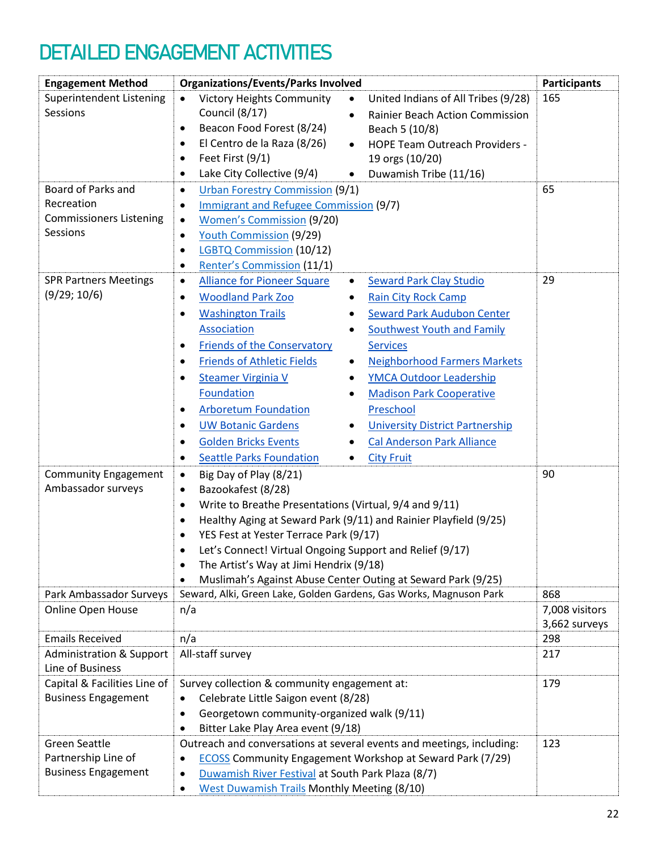# <span id="page-21-0"></span>DETAILED ENGAGEMENT ACTIVITIES

| <b>Engagement Method</b>            | <b>Organizations/Events/Parks Involved</b>                                                         | <b>Participants</b>  |
|-------------------------------------|----------------------------------------------------------------------------------------------------|----------------------|
| Superintendent Listening            | <b>Victory Heights Community</b><br>United Indians of All Tribes (9/28)<br>$\bullet$<br>$\bullet$  | 165                  |
| Sessions                            | Council (8/17)<br><b>Rainier Beach Action Commission</b><br>$\bullet$                              |                      |
|                                     | Beacon Food Forest (8/24)<br>Beach 5 (10/8)<br>$\bullet$                                           |                      |
|                                     | El Centro de la Raza (8/26)<br><b>HOPE Team Outreach Providers -</b><br>$\bullet$<br>$\bullet$     |                      |
|                                     | Feet First (9/1)<br>19 orgs (10/20)<br>$\bullet$                                                   |                      |
|                                     | Lake City Collective (9/4)<br>Duwamish Tribe (11/16)<br>$\bullet$<br>$\bullet$                     |                      |
| Board of Parks and                  | <b>Urban Forestry Commission (9/1)</b><br>$\bullet$                                                | 65                   |
| Recreation                          | Immigrant and Refugee Commission (9/7)<br>$\bullet$                                                |                      |
| <b>Commissioners Listening</b>      | <b>Women's Commission (9/20)</b><br>$\bullet$                                                      |                      |
| Sessions                            | <b>Youth Commission (9/29)</b><br>$\bullet$                                                        |                      |
|                                     | <b>LGBTQ Commission (10/12)</b><br>$\bullet$                                                       |                      |
|                                     | <b>Renter's Commission (11/1)</b><br>$\bullet$                                                     |                      |
| <b>SPR Partners Meetings</b>        | <b>Alliance for Pioneer Square</b><br><b>Seward Park Clay Studio</b><br>$\bullet$<br>$\bullet$     | 29                   |
| (9/29; 10/6)                        | <b>Woodland Park Zoo</b><br><b>Rain City Rock Camp</b><br>$\bullet$<br>٠                           |                      |
|                                     | <b>Washington Trails</b><br><b>Seward Park Audubon Center</b><br>$\bullet$                         |                      |
|                                     | <b>Association</b><br><b>Southwest Youth and Family</b><br>$\bullet$                               |                      |
|                                     | <b>Friends of the Conservatory</b><br><b>Services</b><br>$\bullet$                                 |                      |
|                                     | <b>Friends of Athletic Fields</b><br><b>Neighborhood Farmers Markets</b><br>$\bullet$<br>$\bullet$ |                      |
|                                     | <b>YMCA Outdoor Leadership</b><br><b>Steamer Virginia V</b><br>٠<br>٠                              |                      |
|                                     | <b>Foundation</b><br><b>Madison Park Cooperative</b><br>$\bullet$                                  |                      |
|                                     | <b>Arboretum Foundation</b><br>Preschool<br>$\bullet$                                              |                      |
|                                     | <b>UW Botanic Gardens</b><br><b>University District Partnership</b><br>$\bullet$<br>٠              |                      |
|                                     | <b>Golden Bricks Events</b><br><b>Cal Anderson Park Alliance</b><br>$\bullet$<br>٠                 |                      |
|                                     | <b>Seattle Parks Foundation</b><br><b>City Fruit</b><br>$\bullet$<br>$\bullet$                     |                      |
| <b>Community Engagement</b>         | Big Day of Play (8/21)<br>$\bullet$                                                                | 90                   |
| Ambassador surveys                  | Bazookafest (8/28)<br>$\bullet$                                                                    |                      |
|                                     | Write to Breathe Presentations (Virtual, 9/4 and 9/11)<br>$\bullet$                                |                      |
|                                     | Healthy Aging at Seward Park (9/11) and Rainier Playfield (9/25)<br>$\bullet$                      |                      |
|                                     | YES Fest at Yester Terrace Park (9/17)<br>$\bullet$                                                |                      |
|                                     | Let's Connect! Virtual Ongoing Support and Relief (9/17)<br>$\bullet$                              |                      |
|                                     | The Artist's Way at Jimi Hendrix (9/18)<br>$\bullet$                                               |                      |
|                                     | Muslimah's Against Abuse Center Outing at Seward Park (9/25)                                       |                      |
| Park Ambassador Surveys             | Seward, Alki, Green Lake, Golden Gardens, Gas Works, Magnuson Park                                 | 868                  |
| Online Open House                   | n/a                                                                                                | 7,008 visitors       |
| <b>Emails Received</b>              |                                                                                                    | 3,662 surveys<br>298 |
| <b>Administration &amp; Support</b> | n/a<br>All-staff survey                                                                            | 217                  |
| Line of Business                    |                                                                                                    |                      |
| Capital & Facilities Line of        | Survey collection & community engagement at:                                                       | 179                  |
| <b>Business Engagement</b>          | Celebrate Little Saigon event (8/28)<br>$\bullet$                                                  |                      |
|                                     | Georgetown community-organized walk (9/11)<br>$\bullet$                                            |                      |
|                                     | Bitter Lake Play Area event (9/18)<br>$\bullet$                                                    |                      |
| <b>Green Seattle</b>                | Outreach and conversations at several events and meetings, including:                              | 123                  |
| Partnership Line of                 | <b>ECOSS Community Engagement Workshop at Seward Park (7/29)</b>                                   |                      |
| <b>Business Engagement</b>          | Duwamish River Festival at South Park Plaza (8/7)<br>$\bullet$                                     |                      |
|                                     | <b>West Duwamish Trails Monthly Meeting (8/10)</b><br>$\bullet$                                    |                      |